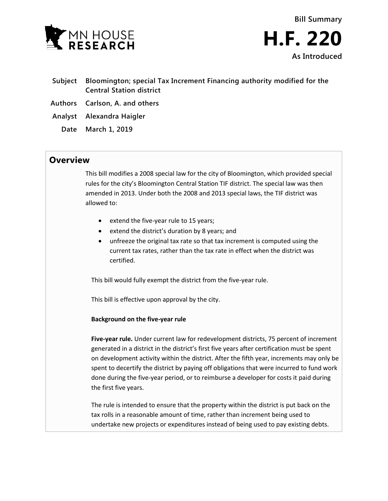



- **Subject Bloomington; special Tax Increment Financing authority modified for the Central Station district**
- **Authors Carlson, A. and others**
- **Analyst Alexandra Haigler**
	- **Date March 1, 2019**

## **Overview**

This bill modifies a 2008 special law for the city of Bloomington, which provided special rules for the city's Bloomington Central Station TIF district. The special law was then amended in 2013. Under both the 2008 and 2013 special laws, the TIF district was allowed to:

- extend the five-year rule to 15 years;
- extend the district's duration by 8 years; and
- unfreeze the original tax rate so that tax increment is computed using the current tax rates, rather than the tax rate in effect when the district was certified.

This bill would fully exempt the district from the five-year rule.

This bill is effective upon approval by the city.

## **Background on the five-year rule**

**Five-year rule.** Under current law for redevelopment districts, 75 percent of increment generated in a district in the district's first five years after certification must be spent on development activity within the district. After the fifth year, increments may only be spent to decertify the district by paying off obligations that were incurred to fund work done during the five-year period, or to reimburse a developer for costs it paid during the first five years.

The rule is intended to ensure that the property within the district is put back on the tax rolls in a reasonable amount of time, rather than increment being used to undertake new projects or expenditures instead of being used to pay existing debts.